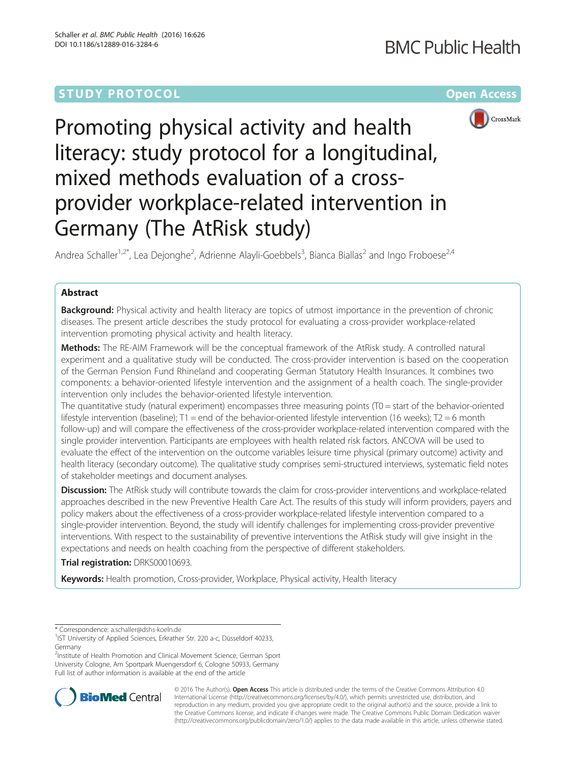# **STUDY PROTOCOL CONSUMING THE RESERVE ACCESS**



# Promoting physical activity and health literacy: study protocol for a longitudinal, mixed methods evaluation of a crossprovider workplace-related intervention in Germany (The AtRisk study)

Andrea Schaller<sup>1,2\*</sup>, Lea Dejonghe<sup>2</sup>, Adrienne Alayli-Goebbels<sup>3</sup>, Bianca Biallas<sup>2</sup> and Ingo Froboese<sup>2,4</sup>

# Abstract

**Background:** Physical activity and health literacy are topics of utmost importance in the prevention of chronic diseases. The present article describes the study protocol for evaluating a cross-provider workplace-related intervention promoting physical activity and health literacy.

Methods: The RE-AIM Framework will be the conceptual framework of the AtRisk study. A controlled natural experiment and a qualitative study will be conducted. The cross-provider intervention is based on the cooperation of the German Pension Fund Rhineland and cooperating German Statutory Health Insurances. It combines two components: a behavior-oriented lifestyle intervention and the assignment of a health coach. The single-provider intervention only includes the behavior-oriented lifestyle intervention.

The quantitative study (natural experiment) encompasses three measuring points (T0 = start of the behavior-oriented lifestyle intervention (baseline); T1 = end of the behavior-oriented lifestyle intervention (16 weeks); T2 = 6 month follow-up) and will compare the effectiveness of the cross-provider workplace-related intervention compared with the single provider intervention. Participants are employees with health related risk factors. ANCOVA will be used to evaluate the effect of the intervention on the outcome variables leisure time physical (primary outcome) activity and health literacy (secondary outcome). The qualitative study comprises semi-structured interviews, systematic field notes of stakeholder meetings and document analyses.

Discussion: The AtRisk study will contribute towards the claim for cross-provider interventions and workplace-related approaches described in the new Preventive Health Care Act. The results of this study will inform providers, payers and policy makers about the effectiveness of a cross-provider workplace-related lifestyle intervention compared to a single-provider intervention. Beyond, the study will identify challenges for implementing cross-provider preventive interventions. With respect to the sustainability of preventive interventions the AtRisk study will give insight in the expectations and needs on health coaching from the perspective of different stakeholders.

Trial registration: [DRKS00010693.](https://drks-neu.uniklinik-freiburg.de/drks_web/setLocale_EN.do)

Keywords: Health promotion, Cross-provider, Workplace, Physical activity, Health literacy

\* Correspondence: [a.schaller@dshs-koeln.de](mailto:a.schaller@dshs-koeln.de) <sup>1</sup>

<sup>2</sup>Institute of Health Promotion and Clinical Movement Science, German Sport University Cologne, Am Sportpark Muengersdorf 6, Cologne 50933, Germany Full list of author information is available at the end of the article



© 2016 The Author(s). Open Access This article is distributed under the terms of the Creative Commons Attribution 4.0 International License [\(http://creativecommons.org/licenses/by/4.0/](http://creativecommons.org/licenses/by/4.0/)), which permits unrestricted use, distribution, and reproduction in any medium, provided you give appropriate credit to the original author(s) and the source, provide a link to the Creative Commons license, and indicate if changes were made. The Creative Commons Public Domain Dedication waiver [\(http://creativecommons.org/publicdomain/zero/1.0/](http://creativecommons.org/publicdomain/zero/1.0/)) applies to the data made available in this article, unless otherwise stated.

<sup>&</sup>lt;sup>1</sup>IST University of Applied Sciences, Erkrather Str. 220 a-c, Düsseldorf 40233, Germany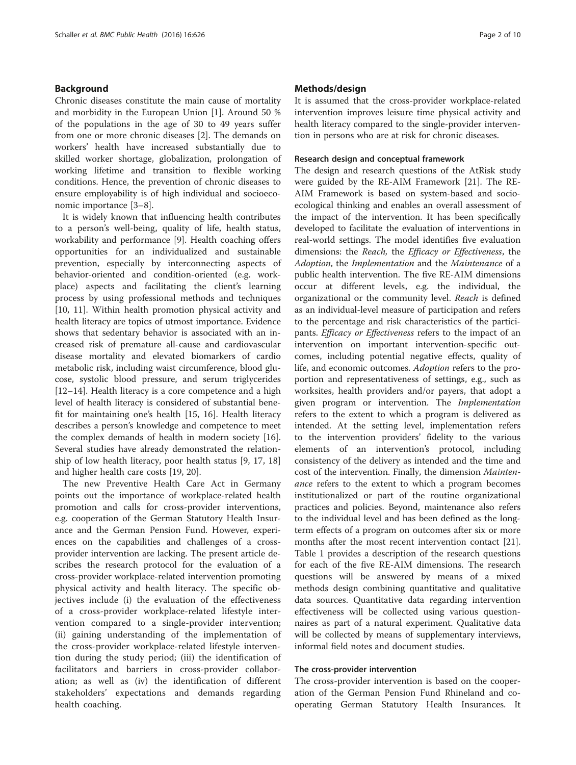### Background

Chronic diseases constitute the main cause of mortality and morbidity in the European Union [\[1](#page-8-0)]. Around 50 % of the populations in the age of 30 to 49 years suffer from one or more chronic diseases [\[2](#page-8-0)]. The demands on workers' health have increased substantially due to skilled worker shortage, globalization, prolongation of working lifetime and transition to flexible working conditions. Hence, the prevention of chronic diseases to ensure employability is of high individual and socioeconomic importance [[3](#page-8-0)–[8\]](#page-8-0).

It is widely known that influencing health contributes to a person's well-being, quality of life, health status, workability and performance [[9\]](#page-8-0). Health coaching offers opportunities for an individualized and sustainable prevention, especially by interconnecting aspects of behavior-oriented and condition-oriented (e.g. workplace) aspects and facilitating the client's learning process by using professional methods and techniques [[10, 11\]](#page-8-0). Within health promotion physical activity and health literacy are topics of utmost importance. Evidence shows that sedentary behavior is associated with an increased risk of premature all-cause and cardiovascular disease mortality and elevated biomarkers of cardio metabolic risk, including waist circumference, blood glucose, systolic blood pressure, and serum triglycerides [[12](#page-8-0)–[14](#page-8-0)]. Health literacy is a core competence and a high level of health literacy is considered of substantial benefit for maintaining one's health [\[15](#page-8-0), [16](#page-8-0)]. Health literacy describes a person's knowledge and competence to meet the complex demands of health in modern society [\[16](#page-8-0)]. Several studies have already demonstrated the relationship of low health literacy, poor health status [[9, 17, 18](#page-8-0)] and higher health care costs [\[19, 20\]](#page-8-0).

The new Preventive Health Care Act in Germany points out the importance of workplace-related health promotion and calls for cross-provider interventions, e.g. cooperation of the German Statutory Health Insurance and the German Pension Fund. However, experiences on the capabilities and challenges of a crossprovider intervention are lacking. The present article describes the research protocol for the evaluation of a cross-provider workplace-related intervention promoting physical activity and health literacy. The specific objectives include (i) the evaluation of the effectiveness of a cross-provider workplace-related lifestyle intervention compared to a single-provider intervention; (ii) gaining understanding of the implementation of the cross-provider workplace-related lifestyle intervention during the study period; (iii) the identification of facilitators and barriers in cross-provider collaboration; as well as (iv) the identification of different stakeholders' expectations and demands regarding health coaching.

#### Methods/design

It is assumed that the cross-provider workplace-related intervention improves leisure time physical activity and health literacy compared to the single-provider intervention in persons who are at risk for chronic diseases.

#### Research design and conceptual framework

The design and research questions of the AtRisk study were guided by the RE-AIM Framework [[21](#page-8-0)]. The RE-AIM Framework is based on system-based and socioecological thinking and enables an overall assessment of the impact of the intervention. It has been specifically developed to facilitate the evaluation of interventions in real-world settings. The model identifies five evaluation dimensions: the Reach, the Efficacy or Effectiveness, the Adoption, the Implementation and the Maintenance of a public health intervention. The five RE-AIM dimensions occur at different levels, e.g. the individual, the organizational or the community level. Reach is defined as an individual-level measure of participation and refers to the percentage and risk characteristics of the participants. Efficacy or Effectiveness refers to the impact of an intervention on important intervention-specific outcomes, including potential negative effects, quality of life, and economic outcomes. Adoption refers to the proportion and representativeness of settings, e.g., such as worksites, health providers and/or payers, that adopt a given program or intervention. The Implementation refers to the extent to which a program is delivered as intended. At the setting level, implementation refers to the intervention providers' fidelity to the various elements of an intervention's protocol, including consistency of the delivery as intended and the time and cost of the intervention. Finally, the dimension Maintenance refers to the extent to which a program becomes institutionalized or part of the routine organizational practices and policies. Beyond, maintenance also refers to the individual level and has been defined as the longterm effects of a program on outcomes after six or more months after the most recent intervention contact [\[21](#page-8-0)]. Table [1](#page-2-0) provides a description of the research questions for each of the five RE-AIM dimensions. The research questions will be answered by means of a mixed methods design combining quantitative and qualitative data sources. Quantitative data regarding intervention effectiveness will be collected using various questionnaires as part of a natural experiment. Qualitative data will be collected by means of supplementary interviews, informal field notes and document studies.

#### The cross-provider intervention

The cross-provider intervention is based on the cooperation of the German Pension Fund Rhineland and cooperating German Statutory Health Insurances. It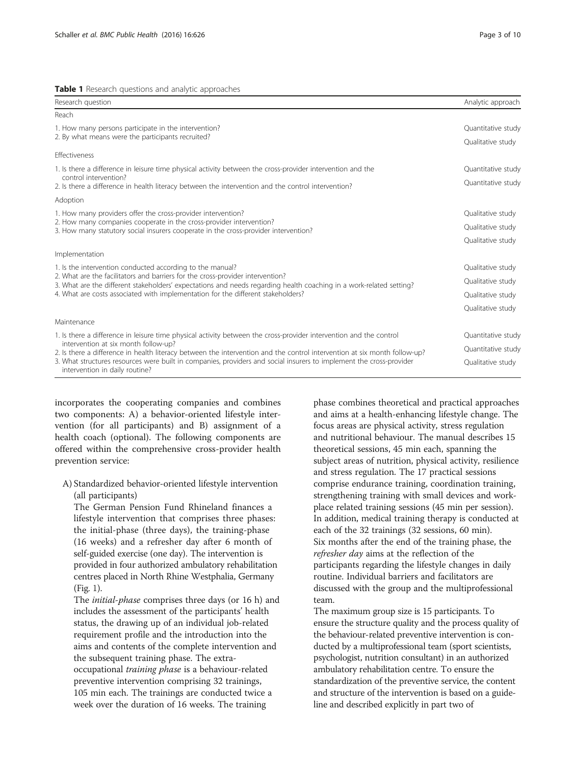<span id="page-2-0"></span>

| Research question                                                                                                                                                                                                          | Analytic approach  |
|----------------------------------------------------------------------------------------------------------------------------------------------------------------------------------------------------------------------------|--------------------|
| Reach                                                                                                                                                                                                                      |                    |
| 1. How many persons participate in the intervention?                                                                                                                                                                       | Quantitative study |
| 2. By what means were the participants recruited?                                                                                                                                                                          | Qualitative study  |
| Effectiveness                                                                                                                                                                                                              |                    |
| 1. Is there a difference in leisure time physical activity between the cross-provider intervention and the                                                                                                                 | Quantitative study |
| control intervention?<br>2. Is there a difference in health literacy between the intervention and the control intervention?                                                                                                | Quantitative study |
| Adoption                                                                                                                                                                                                                   |                    |
| 1. How many providers offer the cross-provider intervention?<br>2. How many companies cooperate in the cross-provider intervention?<br>3. How many statutory social insurers cooperate in the cross-provider intervention? | Qualitative study  |
|                                                                                                                                                                                                                            | Qualitative study  |
|                                                                                                                                                                                                                            | Qualitative study  |
| Implementation                                                                                                                                                                                                             |                    |
| 1. Is the intervention conducted according to the manual?                                                                                                                                                                  | Qualitative study  |
| 2. What are the facilitators and barriers for the cross-provider intervention?<br>3. What are the different stakeholders' expectations and needs regarding health coaching in a work-related setting?                      | Qualitative study  |
| 4. What are costs associated with implementation for the different stakeholders?                                                                                                                                           | Qualitative study  |
|                                                                                                                                                                                                                            | Qualitative study  |
| Maintenance                                                                                                                                                                                                                |                    |
| 1. Is there a difference in leisure time physical activity between the cross-provider intervention and the control                                                                                                         | Quantitative study |
| intervention at six month follow-up?<br>2. Is there a difference in health literacy between the intervention and the control intervention at six month follow-up?                                                          | Quantitative study |
| 3. What structures resources were built in companies, providers and social insurers to implement the cross-provider<br>intervention in daily routine?                                                                      | Qualitative study  |

incorporates the cooperating companies and combines two components: A) a behavior-oriented lifestyle intervention (for all participants) and B) assignment of a health coach (optional). The following components are offered within the comprehensive cross-provider health prevention service:

A) Standardized behavior-oriented lifestyle intervention (all participants)

The German Pension Fund Rhineland finances a lifestyle intervention that comprises three phases: the initial-phase (three days), the training-phase (16 weeks) and a refresher day after 6 month of self-guided exercise (one day). The intervention is provided in four authorized ambulatory rehabilitation centres placed in North Rhine Westphalia, Germany (Fig. [1\)](#page-3-0).

The *initial-phase* comprises three days (or 16 h) and includes the assessment of the participants' health status, the drawing up of an individual job-related requirement profile and the introduction into the aims and contents of the complete intervention and the subsequent training phase. The extraoccupational training phase is a behaviour-related preventive intervention comprising 32 trainings, 105 min each. The trainings are conducted twice a week over the duration of 16 weeks. The training

phase combines theoretical and practical approaches and aims at a health-enhancing lifestyle change. The focus areas are physical activity, stress regulation and nutritional behaviour. The manual describes 15 theoretical sessions, 45 min each, spanning the subject areas of nutrition, physical activity, resilience and stress regulation. The 17 practical sessions comprise endurance training, coordination training, strengthening training with small devices and workplace related training sessions (45 min per session). In addition, medical training therapy is conducted at each of the 32 trainings (32 sessions, 60 min). Six months after the end of the training phase, the refresher day aims at the reflection of the participants regarding the lifestyle changes in daily routine. Individual barriers and facilitators are discussed with the group and the multiprofessional team.

The maximum group size is 15 participants. To ensure the structure quality and the process quality of the behaviour-related preventive intervention is conducted by a multiprofessional team (sport scientists, psychologist, nutrition consultant) in an authorized ambulatory rehabilitation centre. To ensure the standardization of the preventive service, the content and structure of the intervention is based on a guideline and described explicitly in part two of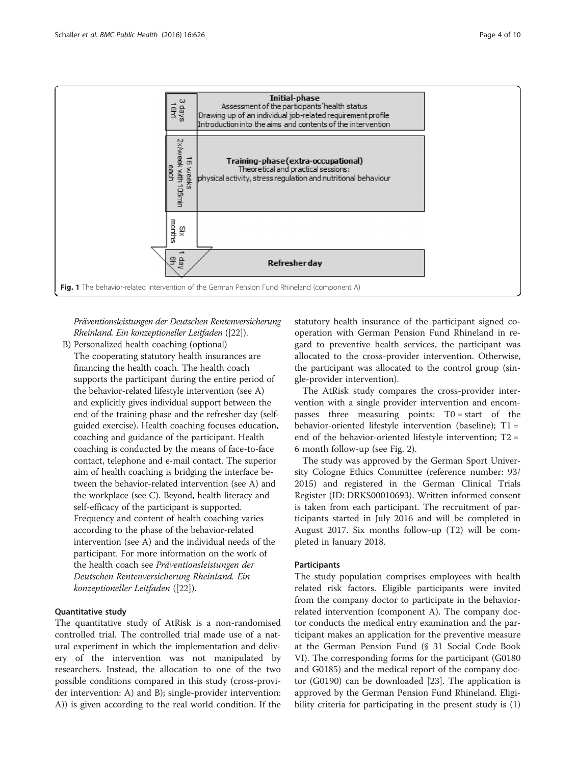<span id="page-3-0"></span>

Präventionsleistungen der Deutschen Rentenversicherung Rheinland. Ein konzeptioneller Leitfaden ([\[22](#page-8-0)]).

B) Personalized health coaching (optional) The cooperating statutory health insurances are financing the health coach. The health coach supports the participant during the entire period of the behavior-related lifestyle intervention (see A) and explicitly gives individual support between the end of the training phase and the refresher day (selfguided exercise). Health coaching focuses education, coaching and guidance of the participant. Health coaching is conducted by the means of face-to-face contact, telephone and e-mail contact. The superior aim of health coaching is bridging the interface between the behavior-related intervention (see A) and the workplace (see C). Beyond, health literacy and self-efficacy of the participant is supported. Frequency and content of health coaching varies according to the phase of the behavior-related intervention (see A) and the individual needs of the participant. For more information on the work of the health coach see Präventionsleistungen der Deutschen Rentenversicherung Rheinland. Ein konzeptioneller Leitfaden ([\[22\]](#page-8-0)).

#### Quantitative study

The quantitative study of AtRisk is a non-randomised controlled trial. The controlled trial made use of a natural experiment in which the implementation and delivery of the intervention was not manipulated by researchers. Instead, the allocation to one of the two possible conditions compared in this study (cross-provider intervention: A) and B); single-provider intervention: A)) is given according to the real world condition. If the

statutory health insurance of the participant signed cooperation with German Pension Fund Rhineland in regard to preventive health services, the participant was allocated to the cross-provider intervention. Otherwise, the participant was allocated to the control group (single-provider intervention).

The AtRisk study compares the cross-provider intervention with a single provider intervention and encompasses three measuring points: T0 = start of the behavior-oriented lifestyle intervention (baseline); T1 = end of the behavior-oriented lifestyle intervention; T2 = 6 month follow-up (see Fig. [2\)](#page-4-0).

The study was approved by the German Sport University Cologne Ethics Committee (reference number: 93/ 2015) and registered in the German Clinical Trials Register (ID: DRKS00010693). Written informed consent is taken from each participant. The recruitment of participants started in July 2016 and will be completed in August 2017. Six months follow-up (T2) will be completed in January 2018.

#### Participants

The study population comprises employees with health related risk factors. Eligible participants were invited from the company doctor to participate in the behaviorrelated intervention (component A). The company doctor conducts the medical entry examination and the participant makes an application for the preventive measure at the German Pension Fund (§ 31 Social Code Book VI). The corresponding forms for the participant (G0180 and G0185) and the medical report of the company doctor (G0190) can be downloaded [[23\]](#page-8-0). The application is approved by the German Pension Fund Rhineland. Eligibility criteria for participating in the present study is (1)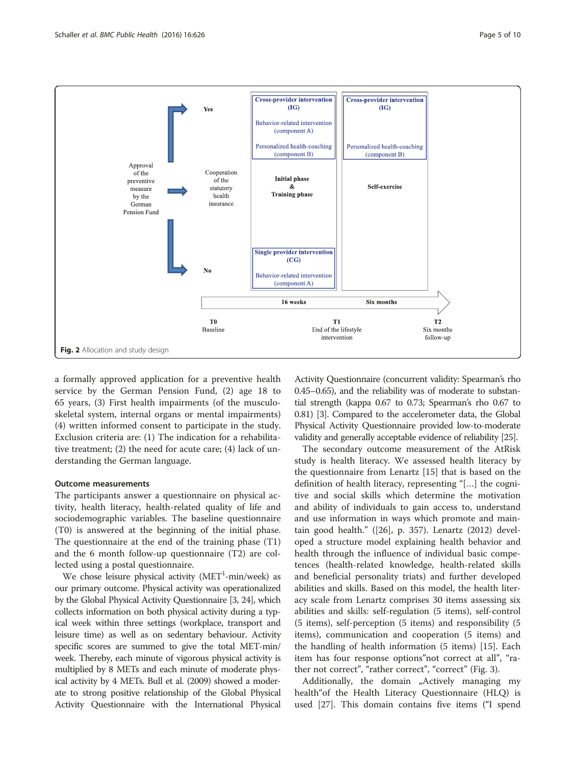<span id="page-4-0"></span>

a formally approved application for a preventive health service by the German Pension Fund, (2) age 18 to 65 years, (3) First health impairments (of the musculoskeletal system, internal organs or mental impairments) (4) written informed consent to participate in the study. Exclusion criteria are: (1) The indication for a rehabilitative treatment; (2) the need for acute care; (4) lack of understanding the German language.

#### Outcome measurements

The participants answer a questionnaire on physical activity, health literacy, health-related quality of life and sociodemographic variables. The baseline questionnaire (T0) is answered at the beginning of the initial phase. The questionnaire at the end of the training phase (T1) and the 6 month follow-up questionnaire (T2) are collected using a postal questionnaire.

We chose leisure physical activity (MET<sup>1</sup>-min/week) as our primary outcome. Physical activity was operationalized by the Global Physical Activity Questionnaire [\[3, 24](#page-8-0)], which collects information on both physical activity during a typical week within three settings (workplace, transport and leisure time) as well as on sedentary behaviour. Activity specific scores are summed to give the total MET-min/ week. Thereby, each minute of vigorous physical activity is multiplied by 8 METs and each minute of moderate physical activity by 4 METs. Bull et al. (2009) showed a moderate to strong positive relationship of the Global Physical Activity Questionnaire with the International Physical

Activity Questionnaire (concurrent validity: Spearman's rho 0.45–0.65), and the reliability was of moderate to substantial strength (kappa 0.67 to 0.73; Spearman's rho 0.67 to 0.81) [\[3](#page-8-0)]. Compared to the accelerometer data, the Global Physical Activity Questionnaire provided low-to-moderate validity and generally acceptable evidence of reliability [\[25\]](#page-8-0).

The secondary outcome measurement of the AtRisk study is health literacy. We assessed health literacy by the questionnaire from Lenartz [\[15](#page-8-0)] that is based on the definition of health literacy, representing "[…] the cognitive and social skills which determine the motivation and ability of individuals to gain access to, understand and use information in ways which promote and maintain good health." ([\[26](#page-8-0)], p. 357). Lenartz (2012) developed a structure model explaining health behavior and health through the influence of individual basic competences (health-related knowledge, health-related skills and beneficial personality triats) and further developed abilities and skills. Based on this model, the health literacy scale from Lenartz comprises 30 items assessing six abilities and skills: self-regulation (5 items), self-control (5 items), self-perception (5 items) and responsibility (5 items), communication and cooperation (5 items) and the handling of health information (5 items) [[15](#page-8-0)]. Each item has four response options"not correct at all", "rather not correct", "rather correct", "correct" (Fig. [3\)](#page-5-0).

Additionally, the domain "Actively managing my health"of the Health Literacy Questionnaire (HLQ) is used [[27\]](#page-8-0). This domain contains five items ("I spend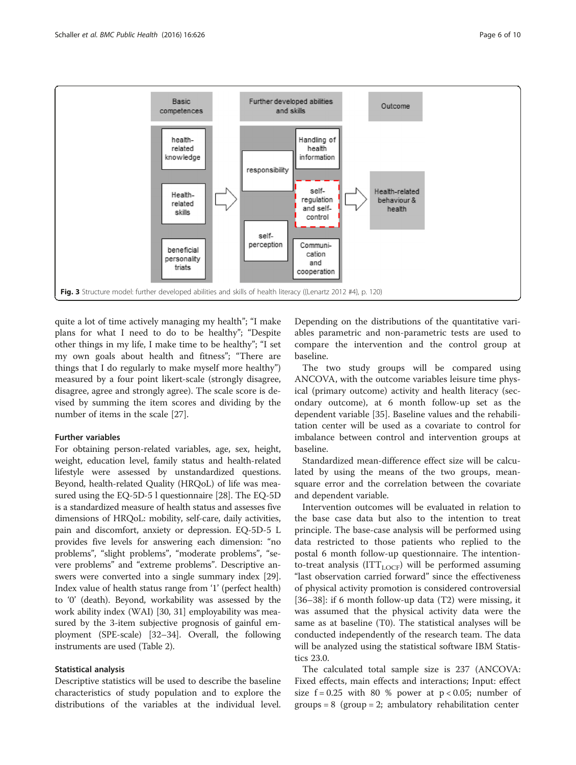<span id="page-5-0"></span>

quite a lot of time actively managing my health"; "I make plans for what I need to do to be healthy"; "Despite other things in my life, I make time to be healthy"; "I set my own goals about health and fitness"; "There are things that I do regularly to make myself more healthy") measured by a four point likert-scale (strongly disagree, disagree, agree and strongly agree). The scale score is devised by summing the item scores and dividing by the number of items in the scale [\[27\]](#page-8-0).

## Further variables

For obtaining person-related variables, age, sex, height, weight, education level, family status and health-related lifestyle were assessed by unstandardized questions. Beyond, health-related Quality (HRQoL) of life was measured using the EQ-5D-5 l questionnaire [[28](#page-8-0)]. The EQ-5D is a standardized measure of health status and assesses five dimensions of HRQoL: mobility, self-care, daily activities, pain and discomfort, anxiety or depression. EQ-5D-5 L provides five levels for answering each dimension: "no problems", "slight problems", "moderate problems", "severe problems" and "extreme problems". Descriptive answers were converted into a single summary index [[29](#page-8-0)]. Index value of health status range from '1' (perfect health) to '0' (death). Beyond, workability was assessed by the work ability index (WAI) [[30](#page-8-0), [31](#page-8-0)] employability was measured by the 3-item subjective prognosis of gainful employment (SPE-scale) [\[32](#page-8-0)–[34](#page-8-0)]. Overall, the following instruments are used (Table [2](#page-6-0)).

#### Statistical analysis

Descriptive statistics will be used to describe the baseline characteristics of study population and to explore the distributions of the variables at the individual level. Depending on the distributions of the quantitative variables parametric and non-parametric tests are used to compare the intervention and the control group at baseline.

The two study groups will be compared using ANCOVA, with the outcome variables leisure time physical (primary outcome) activity and health literacy (secondary outcome), at 6 month follow-up set as the dependent variable [\[35\]](#page-8-0). Baseline values and the rehabilitation center will be used as a covariate to control for imbalance between control and intervention groups at baseline.

Standardized mean-difference effect size will be calculated by using the means of the two groups, meansquare error and the correlation between the covariate and dependent variable.

Intervention outcomes will be evaluated in relation to the base case data but also to the intention to treat principle. The base-case analysis will be performed using data restricted to those patients who replied to the postal 6 month follow-up questionnaire. The intentionto-treat analysis ( $ITT_{LOCF}$ ) will be performed assuming "last observation carried forward" since the effectiveness of physical activity promotion is considered controversial [[36](#page-8-0)–[38](#page-8-0)]: if 6 month follow-up data (T2) were missing, it was assumed that the physical activity data were the same as at baseline (T0). The statistical analyses will be conducted independently of the research team. The data will be analyzed using the statistical software IBM Statistics 23.0.

The calculated total sample size is 237 (ANCOVA: Fixed effects, main effects and interactions; Input: effect size  $f = 0.25$  with 80 % power at  $p < 0.05$ ; number of  $groups = 8 (group = 2; ambulatory rehabilitation center)$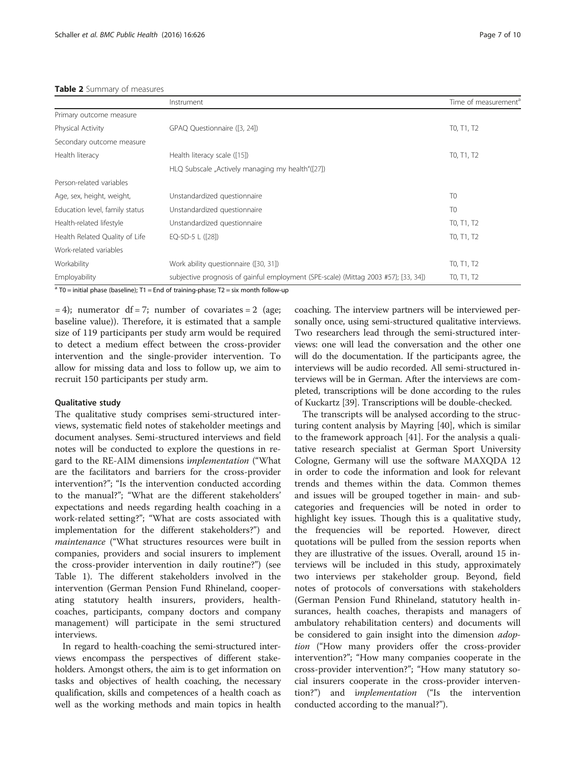#### <span id="page-6-0"></span>Table 2 Summary of measures

|                                | Instrument                                                                          | Time of measurement <sup>d</sup> |
|--------------------------------|-------------------------------------------------------------------------------------|----------------------------------|
| Primary outcome measure        |                                                                                     |                                  |
| Physical Activity              | GPAQ Questionnaire ([3, 24])                                                        | T0, T1, T2                       |
| Secondary outcome measure      |                                                                                     |                                  |
| Health literacy                | Health literacy scale ([15])                                                        | T0, T1, T2                       |
|                                | HLQ Subscale "Actively managing my health"([27])                                    |                                  |
| Person-related variables       |                                                                                     |                                  |
| Age, sex, height, weight,      | Unstandardized questionnaire                                                        | T <sub>0</sub>                   |
| Education level, family status | Unstandardized questionnaire                                                        | T <sub>0</sub>                   |
| Health-related lifestyle       | Unstandardized questionnaire                                                        | T0, T1, T2                       |
| Health Related Quality of Life | EQ-5D-5 L ([28])                                                                    | TO, T1, T2                       |
| Work-related variables         |                                                                                     |                                  |
| Workability                    | Work ability questionnaire ([30, 31])                                               | T0, T1, T2                       |
| Employability                  | subjective prognosis of gainful employment (SPE-scale) (Mittag 2003 #57}; [33, 34]) | T0, T1, T2                       |

 $a$  T0 = initial phase (baseline); T1 = End of training-phase; T2 = six month follow-up

 $= 4$ ); numerator df = 7; number of covariates = 2 (age; baseline value)). Therefore, it is estimated that a sample size of 119 participants per study arm would be required to detect a medium effect between the cross-provider intervention and the single-provider intervention. To allow for missing data and loss to follow up, we aim to recruit 150 participants per study arm.

#### Qualitative study

The qualitative study comprises semi-structured interviews, systematic field notes of stakeholder meetings and document analyses. Semi-structured interviews and field notes will be conducted to explore the questions in regard to the RE-AIM dimensions implementation ("What are the facilitators and barriers for the cross-provider intervention?"; "Is the intervention conducted according to the manual?"; "What are the different stakeholders' expectations and needs regarding health coaching in a work-related setting?"; "What are costs associated with implementation for the different stakeholders?") and maintenance ("What structures resources were built in companies, providers and social insurers to implement the cross-provider intervention in daily routine?") (see Table [1](#page-2-0)). The different stakeholders involved in the intervention (German Pension Fund Rhineland, cooperating statutory health insurers, providers, healthcoaches, participants, company doctors and company management) will participate in the semi structured interviews.

In regard to health-coaching the semi-structured interviews encompass the perspectives of different stakeholders. Amongst others, the aim is to get information on tasks and objectives of health coaching, the necessary qualification, skills and competences of a health coach as well as the working methods and main topics in health

coaching. The interview partners will be interviewed personally once, using semi-structured qualitative interviews. Two researchers lead through the semi-structured interviews: one will lead the conversation and the other one will do the documentation. If the participants agree, the interviews will be audio recorded. All semi-structured interviews will be in German. After the interviews are completed, transcriptions will be done according to the rules of Kuckartz [[39\]](#page-9-0). Transcriptions will be double-checked.

The transcripts will be analysed according to the structuring content analysis by Mayring [\[40\]](#page-9-0), which is similar to the framework approach [[41](#page-9-0)]. For the analysis a qualitative research specialist at German Sport University Cologne, Germany will use the software MAXQDA 12 in order to code the information and look for relevant trends and themes within the data. Common themes and issues will be grouped together in main- and subcategories and frequencies will be noted in order to highlight key issues. Though this is a qualitative study, the frequencies will be reported. However, direct quotations will be pulled from the session reports when they are illustrative of the issues. Overall, around 15 interviews will be included in this study, approximately two interviews per stakeholder group. Beyond, field notes of protocols of conversations with stakeholders (German Pension Fund Rhineland, statutory health insurances, health coaches, therapists and managers of ambulatory rehabilitation centers) and documents will be considered to gain insight into the dimension *adop*tion ("How many providers offer the cross-provider intervention?"; "How many companies cooperate in the cross-provider intervention?"; "How many statutory social insurers cooperate in the cross-provider intervention?") and *implementation* ("Is the intervention conducted according to the manual?").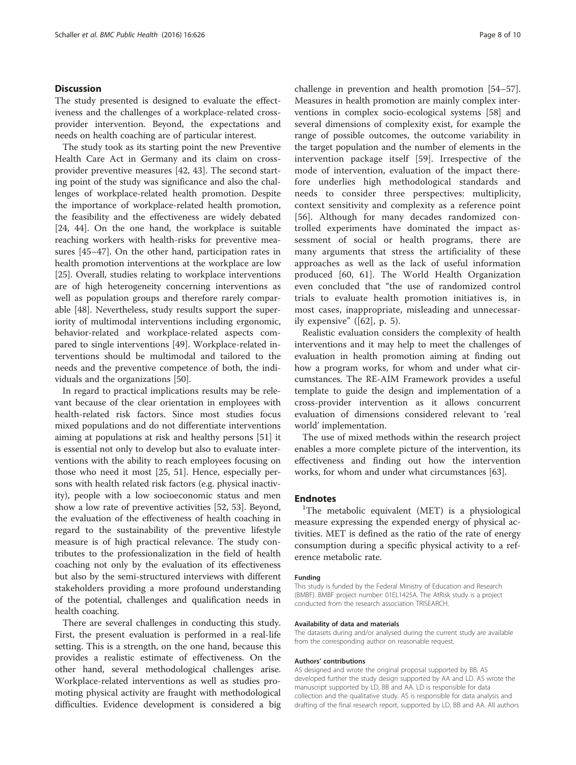### **Discussion**

The study presented is designed to evaluate the effectiveness and the challenges of a workplace-related crossprovider intervention. Beyond, the expectations and needs on health coaching are of particular interest.

The study took as its starting point the new Preventive Health Care Act in Germany and its claim on crossprovider preventive measures [\[42](#page-9-0), [43](#page-9-0)]. The second starting point of the study was significance and also the challenges of workplace-related health promotion. Despite the importance of workplace-related health promotion, the feasibility and the effectiveness are widely debated [[24,](#page-8-0) [44\]](#page-9-0). On the one hand, the workplace is suitable reaching workers with health-risks for preventive measures [[45](#page-9-0)–[47](#page-9-0)]. On the other hand, participation rates in health promotion interventions at the workplace are low [[25\]](#page-8-0). Overall, studies relating to workplace interventions are of high heterogeneity concerning interventions as well as population groups and therefore rarely comparable [\[48\]](#page-9-0). Nevertheless, study results support the superiority of multimodal interventions including ergonomic, behavior-related and workplace-related aspects compared to single interventions [\[49](#page-9-0)]. Workplace-related interventions should be multimodal and tailored to the needs and the preventive competence of both, the individuals and the organizations [[50](#page-9-0)].

In regard to practical implications results may be relevant because of the clear orientation in employees with health-related risk factors. Since most studies focus mixed populations and do not differentiate interventions aiming at populations at risk and healthy persons [\[51](#page-9-0)] it is essential not only to develop but also to evaluate interventions with the ability to reach employees focusing on those who need it most [[25,](#page-8-0) [51\]](#page-9-0). Hence, especially persons with health related risk factors (e.g. physical inactivity), people with a low socioeconomic status and men show a low rate of preventive activities [\[52](#page-9-0), [53](#page-9-0)]. Beyond, the evaluation of the effectiveness of health coaching in regard to the sustainability of the preventive lifestyle measure is of high practical relevance. The study contributes to the professionalization in the field of health coaching not only by the evaluation of its effectiveness but also by the semi-structured interviews with different stakeholders providing a more profound understanding of the potential, challenges and qualification needs in health coaching.

There are several challenges in conducting this study. First, the present evaluation is performed in a real-life setting. This is a strength, on the one hand, because this provides a realistic estimate of effectiveness. On the other hand, several methodological challenges arise. Workplace-related interventions as well as studies promoting physical activity are fraught with methodological difficulties. Evidence development is considered a big

challenge in prevention and health promotion [[54](#page-9-0)–[57](#page-9-0)]. Measures in health promotion are mainly complex interventions in complex socio-ecological systems [[58\]](#page-9-0) and several dimensions of complexity exist, for example the range of possible outcomes, the outcome variability in the target population and the number of elements in the intervention package itself [[59\]](#page-9-0). Irrespective of the mode of intervention, evaluation of the impact therefore underlies high methodological standards and needs to consider three perspectives: multiplicity, context sensitivity and complexity as a reference point [[56\]](#page-9-0). Although for many decades randomized controlled experiments have dominated the impact assessment of social or health programs, there are many arguments that stress the artificiality of these approaches as well as the lack of useful information produced [[60, 61](#page-9-0)]. The World Health Organization even concluded that "the use of randomized control trials to evaluate health promotion initiatives is, in most cases, inappropriate, misleading and unnecessarily expensive"  $([62], p. 5)$  $([62], p. 5)$  $([62], p. 5)$ .

Realistic evaluation considers the complexity of health interventions and it may help to meet the challenges of evaluation in health promotion aiming at finding out how a program works, for whom and under what circumstances. The RE-AIM Framework provides a useful template to guide the design and implementation of a cross-provider intervention as it allows concurrent evaluation of dimensions considered relevant to 'real world' implementation.

The use of mixed methods within the research project enables a more complete picture of the intervention, its effectiveness and finding out how the intervention works, for whom and under what circumstances [\[63\]](#page-9-0).

#### **Endnotes**

<sup>1</sup>The metabolic equivalent (MET) is a physiological measure expressing the expended energy of physical activities. MET is defined as the ratio of the rate of energy consumption during a specific physical activity to a reference metabolic rate.

#### Funding

This study is funded by the Federal Ministry of Education and Research (BMBF). BMBF project number: 01EL1425A. The AtRisk study is a project conducted from the research association TRISEARCH.

#### Availability of data and materials

The datasets during and/or analysed during the current study are available from the corresponding author on reasonable request.

#### Authors' contributions

AS designed and wrote the original proposal supported by BB. AS developed further the study design supported by AA and LD. AS wrote the manuscript supported by LD, BB and AA. LD is responsible for data collection and the qualitative study. AS is responsible for data analysis and drafting of the final research report, supported by LD, BB and AA. All authors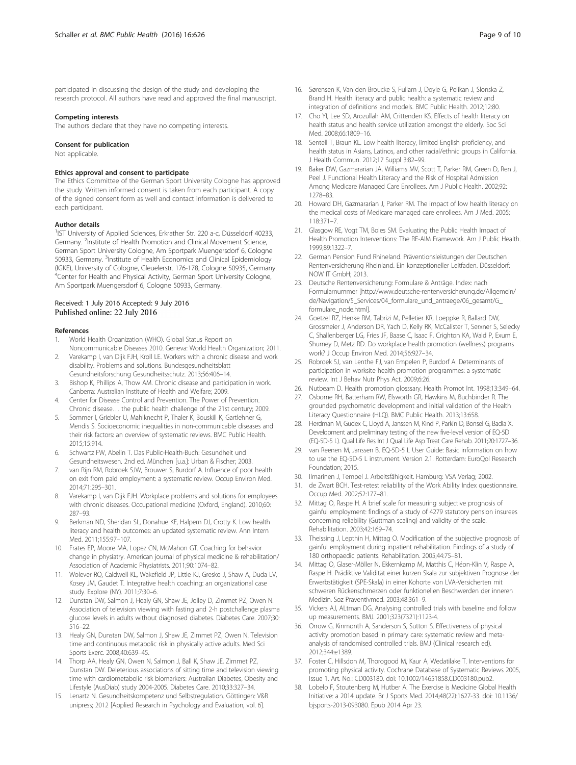<span id="page-8-0"></span>participated in discussing the design of the study and developing the research protocol. All authors have read and approved the final manuscript.

#### Competing interests

The authors declare that they have no competing interests.

#### Consent for publication

Not applicable.

#### Ethics approval and consent to participate

The Ethics Committee of the German Sport University Cologne has approved the study. Written informed consent is taken from each participant. A copy of the signed consent form as well and contact information is delivered to each participant.

#### Author details

<sup>1</sup>IST University of Applied Sciences, Erkrather Str. 220 a-c, Düsseldorf 40233, Germany. <sup>2</sup>Institute of Health Promotion and Clinical Movement Science, German Sport University Cologne, Am Sportpark Muengersdorf 6, Cologne 50933, Germany. <sup>3</sup>Institute of Health Economics and Clinical Epidemiology (IGKE), University of Cologne, Gleuelerstr. 176-178, Cologne 50935, Germany. 4 Center for Health and Physical Activity, German Sport University Cologne, Am Sportpark Muengersdorf 6, Cologne 50933, Germany.

#### Received: 1 July 2016 Accepted: 9 July 2016 Published online: 22 July 2016

#### References

- 1. World Health Organization (WHO). Global Status Report on Noncommunicable Diseases 2010. Geneva: World Health Organization; 2011.
- 2. Varekamp I, van Dijk FJH, Kroll LE. Workers with a chronic disease and work disability. Problems and solutions. Bundesgesundheitsblatt Gesundheitsforschung Gesundheitsschutz. 2013;56:406–14.
- Bishop K, Phillips A, Thow AM. Chronic disease and participation in work. Canberra: Australian Institute of Health and Welfare; 2009.
- 4. Center for Disease Control and Prevention. The Power of Prevention. Chronic disease… the public health challenge of the 21st century; 2009.
- 5. Sommer I, Griebler U, Mahlknecht P, Thaler K, Bouskill K, Gartlehner G, Mendis S. Socioeconomic inequalities in non-communicable diseases and their risk factors: an overview of systematic reviews. BMC Public Health. 2015;15:914.
- 6. Schwartz FW, Abelin T. Das Public-Health-Buch: Gesundheit und Gesundheitswesen. 2nd ed. München [u.a.]: Urban & Fischer; 2003.
- 7. van Rijn RM, Robroek SJW, Brouwer S, Burdorf A. Influence of poor health on exit from paid employment: a systematic review. Occup Environ Med. 2014;71:295–301.
- Varekamp I, van Dijk FJH. Workplace problems and solutions for employees with chronic diseases. Occupational medicine (Oxford, England). 2010;60: 287–93.
- 9. Berkman ND, Sheridan SL, Donahue KE, Halpern DJ, Crotty K. Low health literacy and health outcomes: an updated systematic review. Ann Intern Med. 2011;155:97–107.
- 10. Frates EP, Moore MA, Lopez CN, McMahon GT. Coaching for behavior change in physiatry. American journal of physical medicine & rehabilitation/ Association of Academic Physiatrists. 2011;90:1074–82.
- 11. Wolever RQ, Caldwell KL, Wakefield JP, Little KJ, Gresko J, Shaw A, Duda LV, Kosey JM, Gaudet T. Integrative health coaching: an organizational case study. Explore (NY). 2011;7:30–6.
- 12. Dunstan DW, Salmon J, Healy GN, Shaw JE, Jolley D, Zimmet PZ, Owen N. Association of television viewing with fasting and 2-h postchallenge plasma glucose levels in adults without diagnosed diabetes. Diabetes Care. 2007;30: 516–22.
- 13. Healy GN, Dunstan DW, Salmon J, Shaw JE, Zimmet PZ, Owen N. Television time and continuous metabolic risk in physically active adults. Med Sci Sports Exerc. 2008;40:639–45.
- 14. Thorp AA, Healy GN, Owen N, Salmon J, Ball K, Shaw JE, Zimmet PZ, Dunstan DW. Deleterious associations of sitting time and television viewing time with cardiometabolic risk biomarkers: Australian Diabetes, Obesity and Lifestyle (AusDiab) study 2004-2005. Diabetes Care. 2010;33:327–34.
- 15. Lenartz N. Gesundheitskompetenz und Selbstregulation. Göttingen: V&R unipress; 2012 [Applied Research in Psychology and Evaluation, vol. 6].
- 16. Sørensen K, Van den Broucke S, Fullam J, Doyle G, Pelikan J, Slonska Z, Brand H. Health literacy and public health: a systematic review and integration of definitions and models. BMC Public Health. 2012;12:80.
- 17. Cho YI, Lee SD, Arozullah AM, Crittenden KS. Effects of health literacy on health status and health service utilization amongst the elderly. Soc Sci Med. 2008;66:1809–16.
- 18. Sentell T, Braun KL. Low health literacy, limited English proficiency, and health status in Asians, Latinos, and other racial/ethnic groups in California. J Health Commun. 2012;17 Suppl 3:82–99.
- 19. Baker DW, Gazmararian JA, Williams MV, Scott T, Parker RM, Green D, Ren J, Peel J. Functional Health Literacy and the Risk of Hospital Admission Among Medicare Managed Care Enrollees. Am J Public Health. 2002;92: 1278–83.
- 20. Howard DH, Gazmararian J, Parker RM. The impact of low health literacy on the medical costs of Medicare managed care enrollees. Am J Med. 2005; 118:371–7.
- 21. Glasgow RE, Vogt TM, Boles SM. Evaluating the Public Health Impact of Health Promotion Interventions: The RE-AIM Framework. Am J Public Health. 1999;89:1322–7.
- 22. German Pension Fund Rhineland. Präventionsleistungen der Deutschen Rentenversicherung Rheinland. Ein konzeptioneller Leitfaden. Düsseldorf: NOW IT GmbH; 2013.
- 23. Deutsche Rentenversicherung: Formulare & Anträge. Index: nach Formularnummer [[http://www.deutsche-rentenversicherung.de/Allgemein/](http://www.deutsche-rentenversicherung.de/Allgemein/de/Navigation/5_Services/04_formulare_und_antraege/06_gesamt/G_formulare_node.html) [de/Navigation/5\\_Services/04\\_formulare\\_und\\_antraege/06\\_gesamt/G\\_](http://www.deutsche-rentenversicherung.de/Allgemein/de/Navigation/5_Services/04_formulare_und_antraege/06_gesamt/G_formulare_node.html) [formulare\\_node.html\]](http://www.deutsche-rentenversicherung.de/Allgemein/de/Navigation/5_Services/04_formulare_und_antraege/06_gesamt/G_formulare_node.html)
- 24. Goetzel RZ, Henke RM, Tabrizi M, Pelletier KR, Loeppke R, Ballard DW, Grossmeier J, Anderson DR, Yach D, Kelly RK, McCalister T, Serxner S, Selecky C, Shallenberger LG, Fries JF, Baase C, Isaac F, Crighton KA, Wald P, Exum E, Shurney D, Metz RD. Do workplace health promotion (wellness) programs work? J Occup Environ Med. 2014;56:927–34.
- 25. Robroek SJ, van Lenthe FJ, van Empelen P, Burdorf A. Determinants of participation in worksite health promotion programmes: a systematic review. Int J Behav Nutr Phys Act. 2009;6:26.
- 26. Nutbeam D. Health promotion glosssary. Health Promot Int. 1998;13:349–64.
- 27. Osborne RH, Batterham RW, Elsworth GR, Hawkins M, Buchbinder R. The grounded psychometric development and initial validation of the Health Literacy Questionnaire (HLQ). BMC Public Health. 2013;13:658.
- 28. Herdman M, Gudex C, Lloyd A, Janssen M, Kind P, Parkin D, Bonsel G, Badia X. Development and preliminary testing of the new five-level version of EQ-5D (EQ-5D-5 L). Qual Life Res Int J Qual Life Asp Treat Care Rehab. 2011;20:1727–36.
- 29. van Reenen M, Janssen B. EQ-5D-5 L User Guide: Basic information on how to use the EQ-5D-5 L instrument. Version 2.1. Rotterdam: EuroQol Research Foundation; 2015.
- 30. Ilmarinen J, Tempel J. Arbeitsfähigkeit. Hamburg: VSA Verlag; 2002.
- 31. de Zwart BCH. Test-retest reliability of the Work Ability Index questionnaire. Occup Med. 2002;52:177–81.
- 32. Mittag O, Raspe H. A brief scale for measuring subjective prognosis of gainful employment: findings of a study of 4279 statutory pension insurees concerning reliability (Guttman scaling) and validity of the scale. Rehabilitation. 2003;42:169–74.
- 33. Theissing J, Lepthin H, Mittag O. Modification of the subjective prognosis of gainful employment during inpatient rehabilitation. Findings of a study of 180 orthopaedic patients. Rehabilitation. 2005;44:75–81.
- 34. Mittag O, Glaser-Möller N, Ekkernkamp M, Matthis C, Héon-Klin V, Raspe A, Raspe H. Prädiktive Validität einer kurzen Skala zur subjektiven Prognose der Erwerbstätigkeit (SPE-Skala) in einer Kohorte von LVA-Versicherten mit schweren Rückenschmerzen oder funktionellen Beschwerden der inneren Medizin. Soz Praventivmed. 2003;48:361–9.
- 35. Vickers AJ, ALtman DG. Analysing controlled trials with baseline and follow up measurements. BMJ. 2001;323(7321):1123-4.
- 36. Orrow G, Kinmonth A, Sanderson S, Sutton S. Effectiveness of physical activity promotion based in primary care: systematic review and metaanalysis of randomised controlled trials. BMJ (Clinical research ed). 2012;344:e1389.
- 37. Foster C, Hillsdon M, Thorogood M, Kaur A, Wedatilake T. Interventions for promoting physical activity. Cochrane Database of Systematic Reviews 2005, Issue 1. Art. No.: CD003180. doi: [10.1002/14651858.CD003180.pub2](http://dx.doi.org/10.1002/14651858.CD003180.pub2).
- 38. Lobelo F, Stoutenberg M, Hutber A. The Exercise is Medicine Global Health Initiative: a 2014 update. Br J Sports Med. 2014;48(22):1627-33. doi: [10.1136/](http://dx.doi.org/10.1136/bjsports-2013-093080) [bjsports-2013-093080](http://dx.doi.org/10.1136/bjsports-2013-093080). Epub 2014 Apr 23.